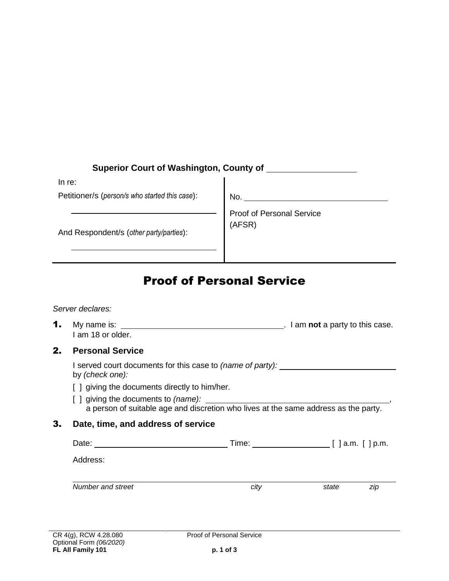# **Superior Court of Washington, County of**

In re:

Petitioner/s (*person/s who started this case*):

No.

And Respondent/s (*other party/parties*):

Proof of Personal Service (AFSR)

# Proof of Personal Service

*Server declares:*

**1.** My name is: <u>same is:  $\frac{1}{2}$  and  $\frac{1}{2}$  am **not**</u> a party to this case. I am 18 or older.

### 2. **Personal Service**

I served court documents for this case to *(name of party):*  by *(check one):*

- [ ] giving the documents directly to him/her.
- [ ] giving the documents to *(name):*  $\qquad \qquad$  ,  $\qquad \qquad$  ,  $\qquad \qquad$  ,  $\qquad \qquad$  ,  $\qquad \qquad$  ,  $\qquad \qquad$  ,  $\qquad \qquad$  ,  $\qquad \qquad$  ,  $\qquad \qquad$  ,  $\qquad \qquad$  ,  $\qquad \qquad$  ,  $\qquad \qquad$  ,  $\qquad \qquad$  ,  $\qquad \qquad$  ,  $\qquad \qquad$  ,  $\qquad \qquad$  ,  $\qquad \qquad$ a person of suitable age and discretion who lives at the same address as the party.

### 3. **Date, time, and address of service**

| Date:             | Time: | [ ] a.m. [ ] p.m. |  |
|-------------------|-------|-------------------|--|
| Address:          |       |                   |  |
|                   |       |                   |  |
| Number and street | city  | zip<br>state      |  |
|                   |       |                   |  |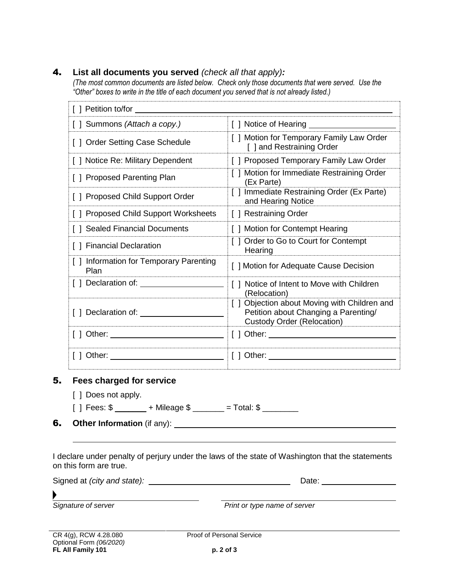#### 4. **List all documents you served** *(check all that apply):*

*(The most common documents are listed below. Check only those documents that were served. Use the "Other" boxes to write in the title of each document you served that is not already listed.)* 

| [ ] Petition to/for ___________                 |                                                                                                                           |
|-------------------------------------------------|---------------------------------------------------------------------------------------------------------------------------|
| [] Summons (Attach a copy.)                     |                                                                                                                           |
| [ ] Order Setting Case Schedule                 | [ ] Motion for Temporary Family Law Order<br>[ ] and Restraining Order                                                    |
| [ ] Notice Re: Military Dependent               | [ ] Proposed Temporary Family Law Order                                                                                   |
| [ ] Proposed Parenting Plan                     | [ ] Motion for Immediate Restraining Order<br>(Ex Parte)                                                                  |
| [ ] Proposed Child Support Order                | [ ] Immediate Restraining Order (Ex Parte)<br>and Hearing Notice                                                          |
| [ ] Proposed Child Support Worksheets           | [ ] Restraining Order                                                                                                     |
| [ ] Sealed Financial Documents                  | [ ] Motion for Contempt Hearing                                                                                           |
| [ ] Financial Declaration                       | [ ] Order to Go to Court for Contempt<br>Hearing                                                                          |
| [ ] Information for Temporary Parenting<br>Plan | [ ] Motion for Adequate Cause Decision                                                                                    |
| [ ] Declaration of: _________                   | [] Notice of Intent to Move with Children<br>(Relocation)                                                                 |
| [ ] Declaration of: ____________                | [ ] Objection about Moving with Children and<br>Petition about Changing a Parenting/<br><b>Custody Order (Relocation)</b> |
| [ ] Other: _________________________________    |                                                                                                                           |
| Other:                                          |                                                                                                                           |

#### 5. **Fees charged for service**

[ ] Does not apply.

 $[ ]$  Fees:  $\frac{6}{5}$  + Mileage  $\frac{6}{5}$  = Total:  $\frac{6}{5}$  = Total:  $\frac{6}{5}$ 

6. **Other Information** (if any):

I declare under penalty of perjury under the laws of the state of Washington that the statements on this form are true.

| Signed at (city and state): | Date: |
|-----------------------------|-------|
|                             |       |

*Signature of server Print or type name of server*

CR 4(g), RCW 4.28.080 Optional Form *(06/2020)* **FL All Family 101**

**Proof of Personal Service**